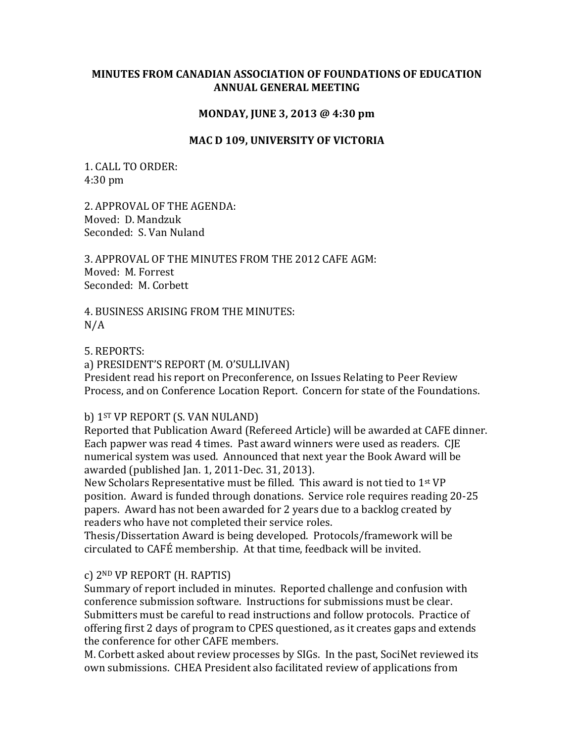### **MINUTES FROM CANADIAN ASSOCIATION OF FOUNDATIONS OF EDUCATION ANNUAL GENERAL MEETING**

### **MONDAY, JUNE 3, 2013 @ 4:30 pm**

#### **MAC D 109, UNIVERSITY OF VICTORIA**

1. CALL TO ORDER: 4:30 pm

2. APPROVAL OF THE AGENDA: Moved: D. Mandzuk Seconded: S. Van Nuland

3. APPROVAL OF THE MINUTES FROM THE 2012 CAFE AGM: Moved: M. Forrest Seconded: M. Corbett

4. BUSINESS ARISING FROM THE MINUTES:  $N/A$ 

5. REPORTS:

a) PRESIDENT'S REPORT (M. O'SULLIVAN)

President read his report on Preconference, on Issues Relating to Peer Review Process, and on Conference Location Report. Concern for state of the Foundations.

### b) 1<sup>ST</sup> VP REPORT (S. VAN NULAND)

Reported that Publication Award (Refereed Article) will be awarded at CAFE dinner. Each papwer was read 4 times. Past award winners were used as readers. CJE numerical system was used. Announced that next year the Book Award will be awarded (published Jan. 1, 2011-Dec. 31, 2013).

New Scholars Representative must be filled. This award is not tied to 1st VP position. Award is funded through donations. Service role requires reading 20-25 papers. Award has not been awarded for 2 years due to a backlog created by readers who have not completed their service roles.

Thesis/Dissertation Award is being developed. Protocols/framework will be circulated to CAFÉ membership. At that time, feedback will be invited.

### c) 2ND VP REPORT (H. RAPTIS)

Summary of report included in minutes. Reported challenge and confusion with conference submission software. Instructions for submissions must be clear. Submitters must be careful to read instructions and follow protocols. Practice of offering first 2 days of program to CPES questioned, as it creates gaps and extends the conference for other CAFE members.

M. Corbett asked about review processes by SIGs. In the past, SociNet reviewed its own submissions. CHEA President also facilitated review of applications from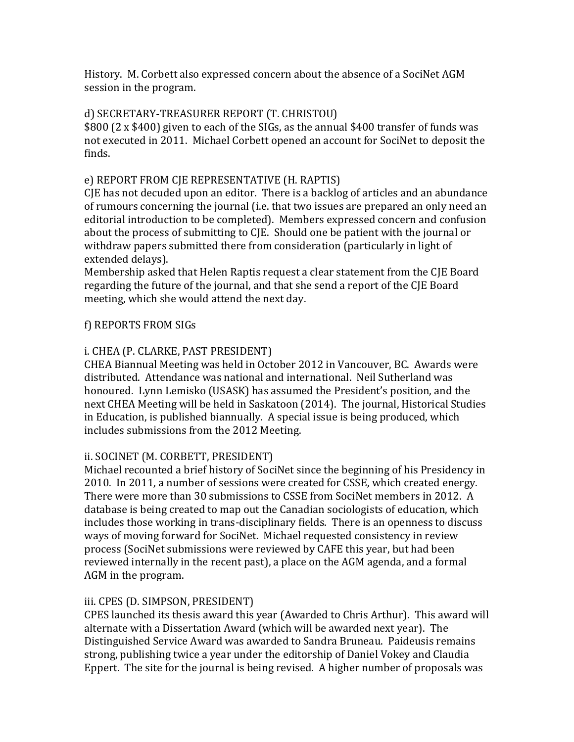History. M. Corbett also expressed concern about the absence of a SociNet AGM session in the program.

## d) SECRETARY-TREASURER REPORT (T. CHRISTOU)

\$800 (2 x \$400) given to each of the SIGs, as the annual \$400 transfer of funds was not executed in 2011. Michael Corbett opened an account for SociNet to deposit the finds.

# e) REPORT FROM CJE REPRESENTATIVE (H. RAPTIS)

CJE has not decuded upon an editor. There is a backlog of articles and an abundance of rumours concerning the journal (i.e. that two issues are prepared an only need an editorial introduction to be completed). Members expressed concern and confusion about the process of submitting to CJE. Should one be patient with the journal or withdraw papers submitted there from consideration (particularly in light of extended delays).

Membership asked that Helen Raptis request a clear statement from the CJE Board regarding the future of the journal, and that she send a report of the CJE Board meeting, which she would attend the next day.

# f) REPORTS FROM SIGs

# i. CHEA (P. CLARKE, PAST PRESIDENT)

CHEA Biannual Meeting was held in October 2012 in Vancouver, BC. Awards were distributed. Attendance was national and international. Neil Sutherland was honoured. Lynn Lemisko (USASK) has assumed the President's position, and the next CHEA Meeting will be held in Saskatoon (2014). The journal, Historical Studies in Education, is published biannually. A special issue is being produced, which includes submissions from the 2012 Meeting.

## ii. SOCINET (M. CORBETT, PRESIDENT)

Michael recounted a brief history of SociNet since the beginning of his Presidency in 2010. In 2011, a number of sessions were created for CSSE, which created energy. There were more than 30 submissions to CSSE from SociNet members in 2012. A database is being created to map out the Canadian sociologists of education, which includes those working in trans-disciplinary fields. There is an openness to discuss ways of moving forward for SociNet. Michael requested consistency in review process (SociNet submissions were reviewed by CAFE this year, but had been reviewed internally in the recent past), a place on the AGM agenda, and a formal AGM in the program.

## iii. CPES (D. SIMPSON, PRESIDENT)

CPES launched its thesis award this year (Awarded to Chris Arthur). This award will alternate with a Dissertation Award (which will be awarded next year). The Distinguished Service Award was awarded to Sandra Bruneau. Paideusis remains strong, publishing twice a year under the editorship of Daniel Vokey and Claudia Eppert. The site for the journal is being revised. A higher number of proposals was